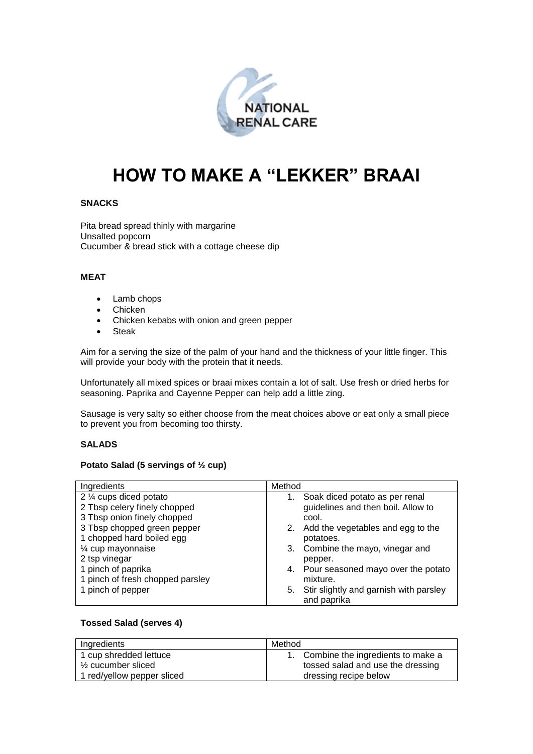

# **HOW TO MAKE A "LEKKER" BRAAI**

# **SNACKS**

Pita bread spread thinly with margarine Unsalted popcorn Cucumber & bread stick with a cottage cheese dip

### **MEAT**

- Lamb chops
- Chicken
- Chicken kebabs with onion and green pepper
- Steak

Aim for a serving the size of the palm of your hand and the thickness of your little finger. This will provide your body with the protein that it needs.

Unfortunately all mixed spices or braai mixes contain a lot of salt. Use fresh or dried herbs for seasoning. Paprika and Cayenne Pepper can help add a little zing.

Sausage is very salty so either choose from the meat choices above or eat only a small piece to prevent you from becoming too thirsty.

### **SALADS**

#### **Potato Salad (5 servings of ½ cup)**

| Ingredients                      | Method                                                      |
|----------------------------------|-------------------------------------------------------------|
| 2 1/4 cups diced potato          | Soak diced potato as per renal<br>1.                        |
| 2 Tbsp celery finely chopped     | guidelines and then boil. Allow to                          |
| 3 Tbsp onion finely chopped      | cool.                                                       |
| 3 Tbsp chopped green pepper      | 2. Add the vegetables and egg to the                        |
| 1 chopped hard boiled egg        | potatoes.                                                   |
| 1⁄4 cup mayonnaise               | Combine the mayo, vinegar and<br>3.                         |
| 2 tsp vinegar                    | pepper.                                                     |
| 1 pinch of paprika               | 4. Pour seasoned mayo over the potato                       |
| 1 pinch of fresh chopped parsley | mixture.                                                    |
| 1 pinch of pepper                | Stir slightly and garnish with parsley<br>5.<br>and paprika |

#### **Tossed Salad (serves 4)**

| Ingredients                   | Method                               |
|-------------------------------|--------------------------------------|
| 1 cup shredded lettuce        | 1. Combine the ingredients to make a |
| $\frac{1}{2}$ cucumber sliced | tossed salad and use the dressing    |
| 1 red/yellow pepper sliced    | dressing recipe below                |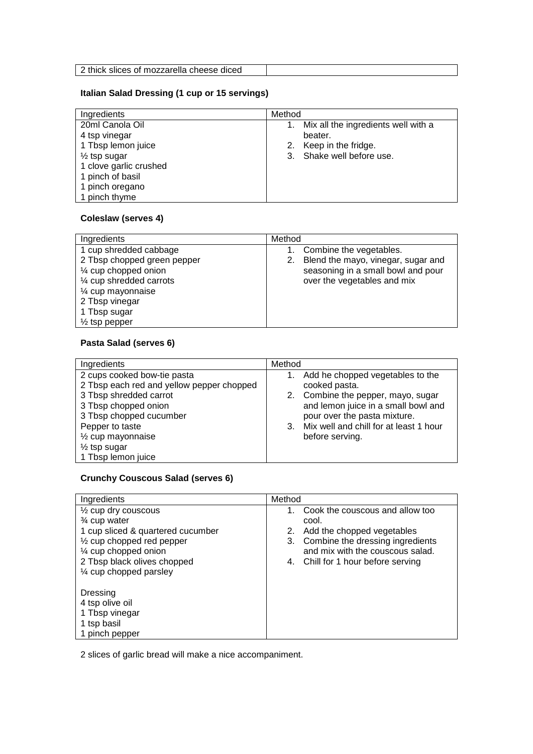#### **Italian Salad Dressing (1 cup or 15 servings)**

| Ingredients             | Method                              |
|-------------------------|-------------------------------------|
| 20ml Canola Oil         | Mix all the ingredients well with a |
| 4 tsp vinegar           | beater.                             |
| 1 Tbsp lemon juice      | Keep in the fridge.<br>2.           |
| $\frac{1}{2}$ tsp sugar | 3. Shake well before use.           |
| 1 clove garlic crushed  |                                     |
| 1 pinch of basil        |                                     |
| 1 pinch oregano         |                                     |
| 1 pinch thyme           |                                     |

# **Coleslaw (serves 4)**

| Ingredients                                                                                                                                                                                    | Method                                                                                                                                   |
|------------------------------------------------------------------------------------------------------------------------------------------------------------------------------------------------|------------------------------------------------------------------------------------------------------------------------------------------|
| 1 cup shredded cabbage<br>2 Tbsp chopped green pepper<br>1/4 cup chopped onion<br>1/4 cup shredded carrots<br>1⁄4 cup mayonnaise<br>2 Tbsp vinegar<br>1 Tbsp sugar<br>$\frac{1}{2}$ tsp pepper | Combine the vegetables.<br>Blend the mayo, vinegar, sugar and<br>2.<br>seasoning in a small bowl and pour<br>over the vegetables and mix |

# **Pasta Salad (serves 6)**

| Ingredients                                                                                                                                                                                                                                                 | Method                                                                                                                                                                                                                            |
|-------------------------------------------------------------------------------------------------------------------------------------------------------------------------------------------------------------------------------------------------------------|-----------------------------------------------------------------------------------------------------------------------------------------------------------------------------------------------------------------------------------|
| 2 cups cooked bow-tie pasta<br>2 Tbsp each red and yellow pepper chopped<br>3 Tbsp shredded carrot<br>3 Tbsp chopped onion<br>3 Tbsp chopped cucumber<br>Pepper to taste<br>1/ <sub>2</sub> cup mayonnaise<br>$\frac{1}{2}$ tsp sugar<br>1 Tbsp lemon juice | Add he chopped vegetables to the<br>cooked pasta.<br>2. Combine the pepper, mayo, sugar<br>and lemon juice in a small bowl and<br>pour over the pasta mixture.<br>Mix well and chill for at least 1 hour<br>3.<br>before serving. |

# **Crunchy Couscous Salad (serves 6)**

| Ingredients                          | Method                                 |
|--------------------------------------|----------------------------------------|
| $\frac{1}{2}$ cup dry couscous       | Cook the couscous and allow too<br>1.  |
| 3⁄4 cup water                        | cool.                                  |
| 1 cup sliced & quartered cucumber    | Add the chopped vegetables<br>2.       |
| $\frac{1}{2}$ cup chopped red pepper | Combine the dressing ingredients<br>3. |
| 1⁄4 cup chopped onion                | and mix with the couscous salad.       |
| 2 Tbsp black olives chopped          | Chill for 1 hour before serving<br>4.  |
| 1⁄4 cup chopped parsley              |                                        |
|                                      |                                        |
| Dressing                             |                                        |
| 4 tsp olive oil                      |                                        |
| 1 Tbsp vinegar                       |                                        |
| 1 tsp basil                          |                                        |
| 1 pinch pepper                       |                                        |

2 slices of garlic bread will make a nice accompaniment.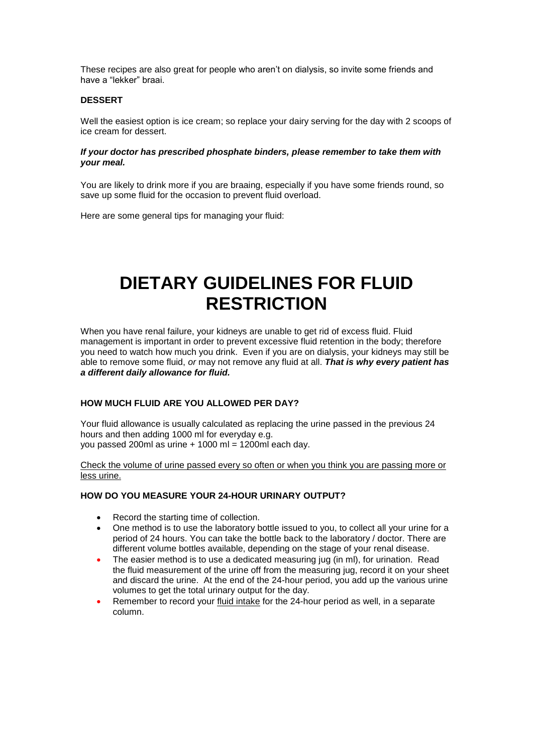These recipes are also great for people who aren't on dialysis, so invite some friends and have a "lekker" braai.

#### **DESSERT**

Well the easiest option is ice cream; so replace your dairy serving for the day with 2 scoops of ice cream for dessert.

#### *If your doctor has prescribed phosphate binders, please remember to take them with your meal.*

You are likely to drink more if you are braaing, especially if you have some friends round, so save up some fluid for the occasion to prevent fluid overload.

Here are some general tips for managing your fluid:

# **DIETARY GUIDELINES FOR FLUID RESTRICTION**

When you have renal failure, your kidneys are unable to get rid of excess fluid. Fluid management is important in order to prevent excessive fluid retention in the body; therefore you need to watch how much you drink. Even if you are on dialysis, your kidneys may still be able to remove some fluid, *or* may not remove any fluid at all. *That is why every patient has a different daily allowance for fluid.*

## **HOW MUCH FLUID ARE YOU ALLOWED PER DAY?**

Your fluid allowance is usually calculated as replacing the urine passed in the previous 24 hours and then adding 1000 ml for everyday e.g. you passed 200ml as urine + 1000 ml = 1200ml each day.

#### Check the volume of urine passed every so often or when you think you are passing more or less urine.

### **HOW DO YOU MEASURE YOUR 24-HOUR URINARY OUTPUT?**

- Record the starting time of collection.
- One method is to use the laboratory bottle issued to you, to collect all your urine for a period of 24 hours. You can take the bottle back to the laboratory / doctor. There are different volume bottles available, depending on the stage of your renal disease.
- The easier method is to use a dedicated measuring jug (in ml), for urination. Read the fluid measurement of the urine off from the measuring jug, record it on your sheet and discard the urine. At the end of the 24-hour period, you add up the various urine volumes to get the total urinary output for the day.
- Remember to record your fluid intake for the 24-hour period as well, in a separate column.